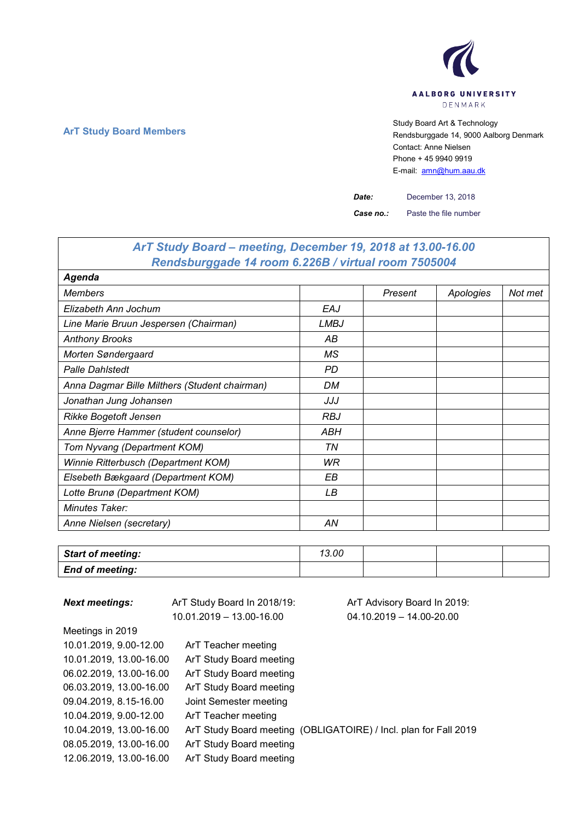

**ArT Study Board Members** Study Board Art & Technology **Art Study Board Art & Technology** Rendsburggade 14, 9000 Aalborg Denmark Contact: Anne Nielsen Phone + 45 9940 9919 E-mail: [amn@hum.aau.dk](mailto:amn@hum.aau.dk)

٦

*Date:* December 13, 2018

*Case no.:* Paste the file number

| ArT Study Board – meeting, December 19, 2018 at 13.00-16.00 |             |         |           |         |  |
|-------------------------------------------------------------|-------------|---------|-----------|---------|--|
| Rendsburggade 14 room 6.226B / virtual room 7505004         |             |         |           |         |  |
| Agenda                                                      |             |         |           |         |  |
| <b>Members</b>                                              |             | Present | Apologies | Not met |  |
| Elizabeth Ann Jochum                                        | EAJ         |         |           |         |  |
| Line Marie Bruun Jespersen (Chairman)                       | <b>LMBJ</b> |         |           |         |  |
| <b>Anthony Brooks</b>                                       | АB          |         |           |         |  |
| Morten Søndergaard                                          | МS          |         |           |         |  |
| <b>Palle Dahlstedt</b>                                      | PD          |         |           |         |  |
| Anna Dagmar Bille Milthers (Student chairman)               | DM          |         |           |         |  |
| Jonathan Jung Johansen                                      | JJJ         |         |           |         |  |
| <b>Rikke Bogetoft Jensen</b>                                | <b>RBJ</b>  |         |           |         |  |
| Anne Bjerre Hammer (student counselor)                      | ABH         |         |           |         |  |
| Tom Nyvang (Department KOM)                                 | ΤN          |         |           |         |  |
| Winnie Ritterbusch (Department KOM)                         | WR          |         |           |         |  |
| Elsebeth Bækgaard (Department KOM)                          | EВ          |         |           |         |  |
| Lotte Brunø (Department KOM)                                | LВ          |         |           |         |  |
| Minutes Taker:                                              |             |         |           |         |  |
| Anne Nielsen (secretary)                                    | AN          |         |           |         |  |

| Start of meeting:      | 13.00 |  |  |
|------------------------|-------|--|--|
| <b>End of meeting:</b> |       |  |  |

| <b>Next meetings:</b>   | ArT Study Board In 2018/19: | ArT Advisory Board In 2019:                                      |
|-------------------------|-----------------------------|------------------------------------------------------------------|
|                         | 10.01.2019 - 13.00-16.00    | $04.10.2019 - 14.00 - 20.00$                                     |
| Meetings in 2019        |                             |                                                                  |
| 10.01.2019, 9.00-12.00  | ArT Teacher meeting         |                                                                  |
| 10.01.2019, 13.00-16.00 | ArT Study Board meeting     |                                                                  |
| 06.02.2019, 13.00-16.00 | ArT Study Board meeting     |                                                                  |
| 06.03.2019, 13.00-16.00 | ArT Study Board meeting     |                                                                  |
| 09.04.2019, 8.15-16.00  | Joint Semester meeting      |                                                                  |
| 10.04.2019, 9.00-12.00  | ArT Teacher meeting         |                                                                  |
| 10.04.2019, 13.00-16.00 |                             | ArT Study Board meeting (OBLIGATOIRE) / Incl. plan for Fall 2019 |
| 08.05.2019, 13.00-16.00 | ArT Study Board meeting     |                                                                  |
| 12.06.2019, 13.00-16.00 | ArT Study Board meeting     |                                                                  |

 $\overline{1}$